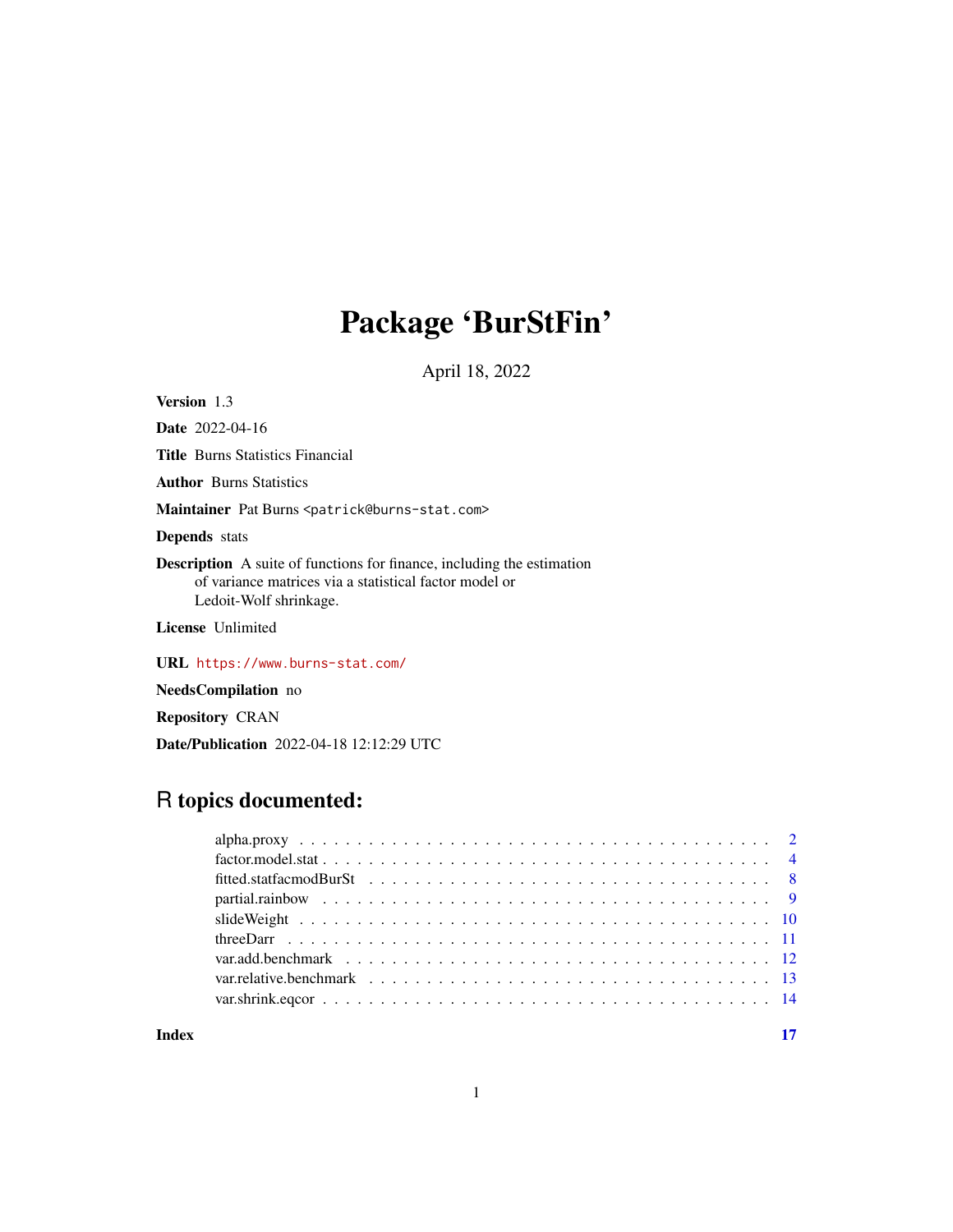# Package 'BurStFin'

April 18, 2022

<span id="page-0-0"></span>Version 1.3

Date 2022-04-16 Title Burns Statistics Financial Author Burns Statistics Maintainer Pat Burns <patrick@burns-stat.com> Depends stats Description A suite of functions for finance, including the estimation of variance matrices via a statistical factor model or Ledoit-Wolf shrinkage. License Unlimited

URL <https://www.burns-stat.com/>

NeedsCompilation no

Repository CRAN

Date/Publication 2022-04-18 12:12:29 UTC

# R topics documented:

| var. relative. benchmark $\ldots$ , $\ldots$ , $\ldots$ , $\ldots$ , $\ldots$ , $\ldots$ , $\ldots$ , $\ldots$ , $\ldots$ , $\ldots$ , $\ldots$ , $\ldots$ |  |
|------------------------------------------------------------------------------------------------------------------------------------------------------------|--|
|                                                                                                                                                            |  |
|                                                                                                                                                            |  |

**Index** [17](#page-16-0)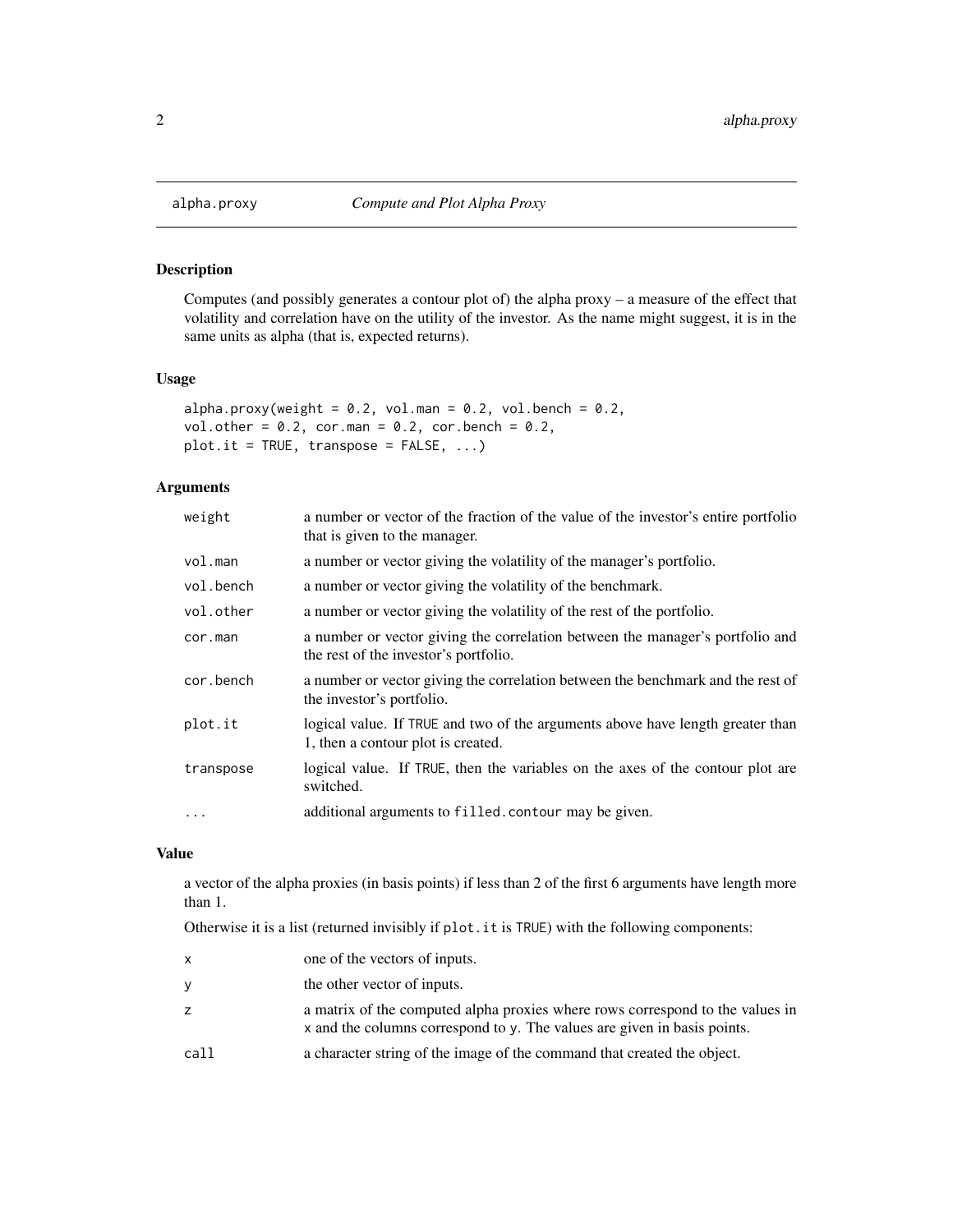<span id="page-1-1"></span><span id="page-1-0"></span>

#### Description

Computes (and possibly generates a contour plot of) the alpha proxy – a measure of the effect that volatility and correlation have on the utility of the investor. As the name might suggest, it is in the same units as alpha (that is, expected returns).

# Usage

```
alpha.proxy(weight = 0.2, vol.man = 0.2, vol.bench = 0.2,
vol.other = 0.2, cor.man = 0.2, cor.bench = 0.2,
plot.it = TRUE, transpose = FALSE, ...)
```
# Arguments

| weight    | a number or vector of the fraction of the value of the investor's entire portfolio<br>that is given to the manager.    |
|-----------|------------------------------------------------------------------------------------------------------------------------|
| vol.man   | a number or vector giving the volatility of the manager's portfolio.                                                   |
| vol.bench | a number or vector giving the volatility of the benchmark.                                                             |
| vol.other | a number or vector giving the volatility of the rest of the portfolio.                                                 |
| cor.man   | a number or vector giving the correlation between the manager's portfolio and<br>the rest of the investor's portfolio. |
| cor.bench | a number or vector giving the correlation between the benchmark and the rest of<br>the investor's portfolio.           |
| plot.it   | logical value. If TRUE and two of the arguments above have length greater than<br>1, then a contour plot is created.   |
| transpose | logical value. If TRUE, then the variables on the axes of the contour plot are<br>switched.                            |
| $\ddots$  | additional arguments to filled. contour may be given.                                                                  |

#### Value

a vector of the alpha proxies (in basis points) if less than 2 of the first 6 arguments have length more than 1.

Otherwise it is a list (returned invisibly if plot.it is TRUE) with the following components:

| X    | one of the vectors of inputs.                                                                                                                             |
|------|-----------------------------------------------------------------------------------------------------------------------------------------------------------|
| V    | the other vector of inputs.                                                                                                                               |
| Z    | a matrix of the computed alpha proxies where rows correspond to the values in<br>x and the columns correspond to y. The values are given in basis points. |
| call | a character string of the image of the command that created the object.                                                                                   |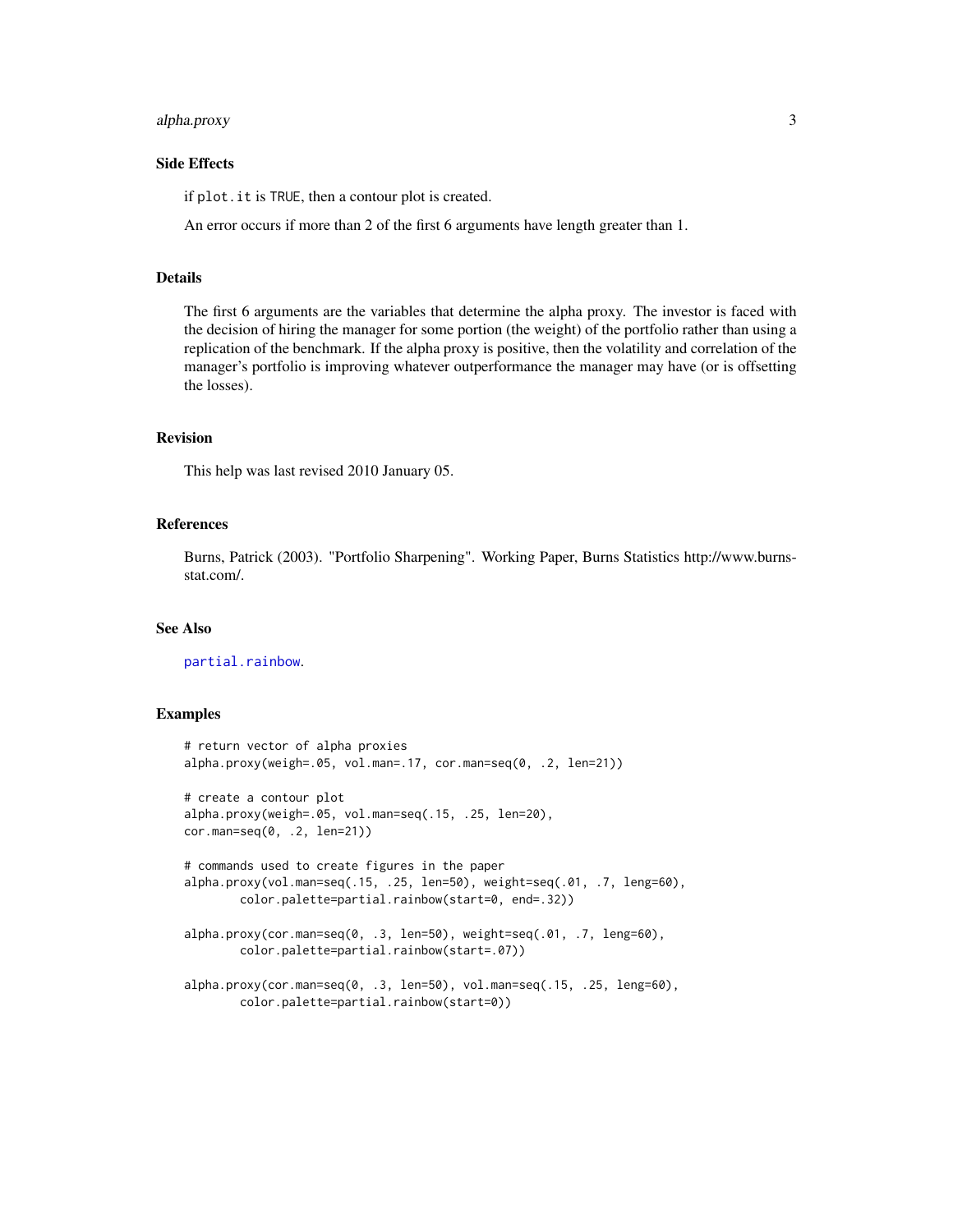# <span id="page-2-0"></span>alpha.proxy 3

# Side Effects

if plot.it is TRUE, then a contour plot is created.

An error occurs if more than 2 of the first 6 arguments have length greater than 1.

#### Details

The first 6 arguments are the variables that determine the alpha proxy. The investor is faced with the decision of hiring the manager for some portion (the weight) of the portfolio rather than using a replication of the benchmark. If the alpha proxy is positive, then the volatility and correlation of the manager's portfolio is improving whatever outperformance the manager may have (or is offsetting the losses).

# Revision

This help was last revised 2010 January 05.

# References

Burns, Patrick (2003). "Portfolio Sharpening". Working Paper, Burns Statistics http://www.burnsstat.com/.

#### See Also

[partial.rainbow](#page-8-1).

#### Examples

```
# return vector of alpha proxies
alpha.proxy(weigh=.05, vol.man=.17, cor.man=seq(0, .2, len=21))
# create a contour plot
alpha.proxy(weigh=.05, vol.man=seq(.15, .25, len=20),
cor.man=seq(0, .2, len=21))
# commands used to create figures in the paper
alpha.proxy(vol.man=seq(.15, .25, len=50), weight=seq(.01, .7, leng=60),
       color.palette=partial.rainbow(start=0, end=.32))
alpha.proxy(cor.man=seq(0, .3, len=50), weight=seq(.01, .7, leng=60),
       color.palette=partial.rainbow(start=.07))
alpha.proxy(cor.man=seq(0, .3, len=50), vol.man=seq(.15, .25, leng=60),
```
color.palette=partial.rainbow(start=0))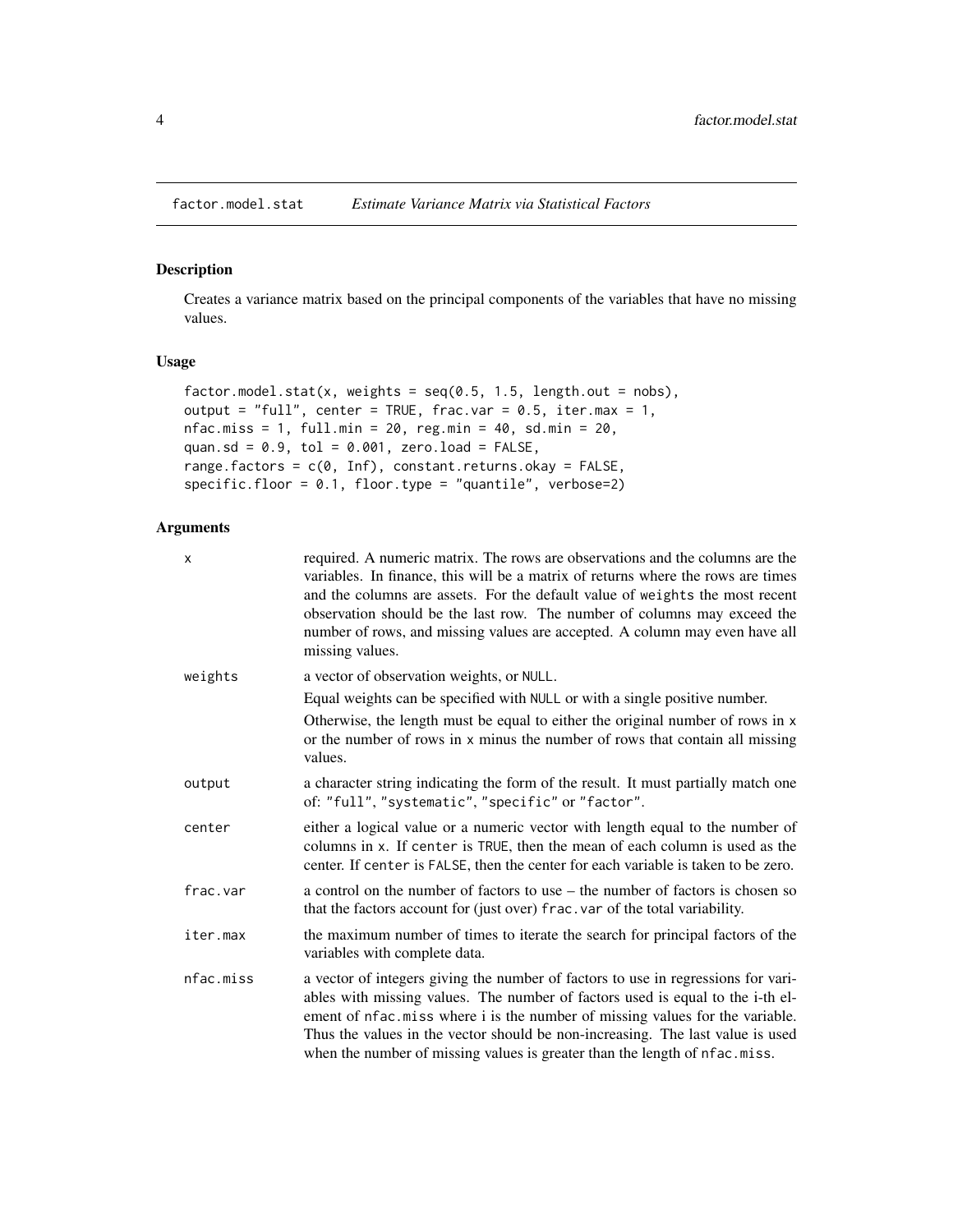<span id="page-3-1"></span><span id="page-3-0"></span>

#### Description

Creates a variance matrix based on the principal components of the variables that have no missing values.

# Usage

```
factor.model.stat(x, weights = seq(0.5, 1.5, length.out = nobs),
output = "full", center = TRUE, frac.var = 0.5, iter.max = 1,
nfac.miss = 1, full.min = 20, reg.min = 40, sd.min = 20,
quan.sd = 0.9, tol = 0.001, zero.load = FALSE,
range.factors = c(0, \text{Inf}), constant.returns.okay = FALSE,
specific.floor = 0.1, floor.type = "quantile", verbose=2)
```
# Arguments

| X         | required. A numeric matrix. The rows are observations and the columns are the<br>variables. In finance, this will be a matrix of returns where the rows are times<br>and the columns are assets. For the default value of weights the most recent<br>observation should be the last row. The number of columns may exceed the<br>number of rows, and missing values are accepted. A column may even have all<br>missing values. |
|-----------|---------------------------------------------------------------------------------------------------------------------------------------------------------------------------------------------------------------------------------------------------------------------------------------------------------------------------------------------------------------------------------------------------------------------------------|
| weights   | a vector of observation weights, or NULL.                                                                                                                                                                                                                                                                                                                                                                                       |
|           | Equal weights can be specified with NULL or with a single positive number.                                                                                                                                                                                                                                                                                                                                                      |
|           | Otherwise, the length must be equal to either the original number of rows in x<br>or the number of rows in x minus the number of rows that contain all missing<br>values.                                                                                                                                                                                                                                                       |
| output    | a character string indicating the form of the result. It must partially match one<br>of: "full", "systematic", "specific" or "factor".                                                                                                                                                                                                                                                                                          |
| center    | either a logical value or a numeric vector with length equal to the number of<br>columns in x. If center is TRUE, then the mean of each column is used as the<br>center. If center is FALSE, then the center for each variable is taken to be zero.                                                                                                                                                                             |
| frac.var  | a control on the number of factors to use – the number of factors is chosen so<br>that the factors account for (just over) frac. var of the total variability.                                                                                                                                                                                                                                                                  |
| iter.max  | the maximum number of times to iterate the search for principal factors of the<br>variables with complete data.                                                                                                                                                                                                                                                                                                                 |
| nfac.miss | a vector of integers giving the number of factors to use in regressions for vari-<br>ables with missing values. The number of factors used is equal to the i-th el-<br>ement of nfac.miss where i is the number of missing values for the variable.<br>Thus the values in the vector should be non-increasing. The last value is used<br>when the number of missing values is greater than the length of nfac.miss.             |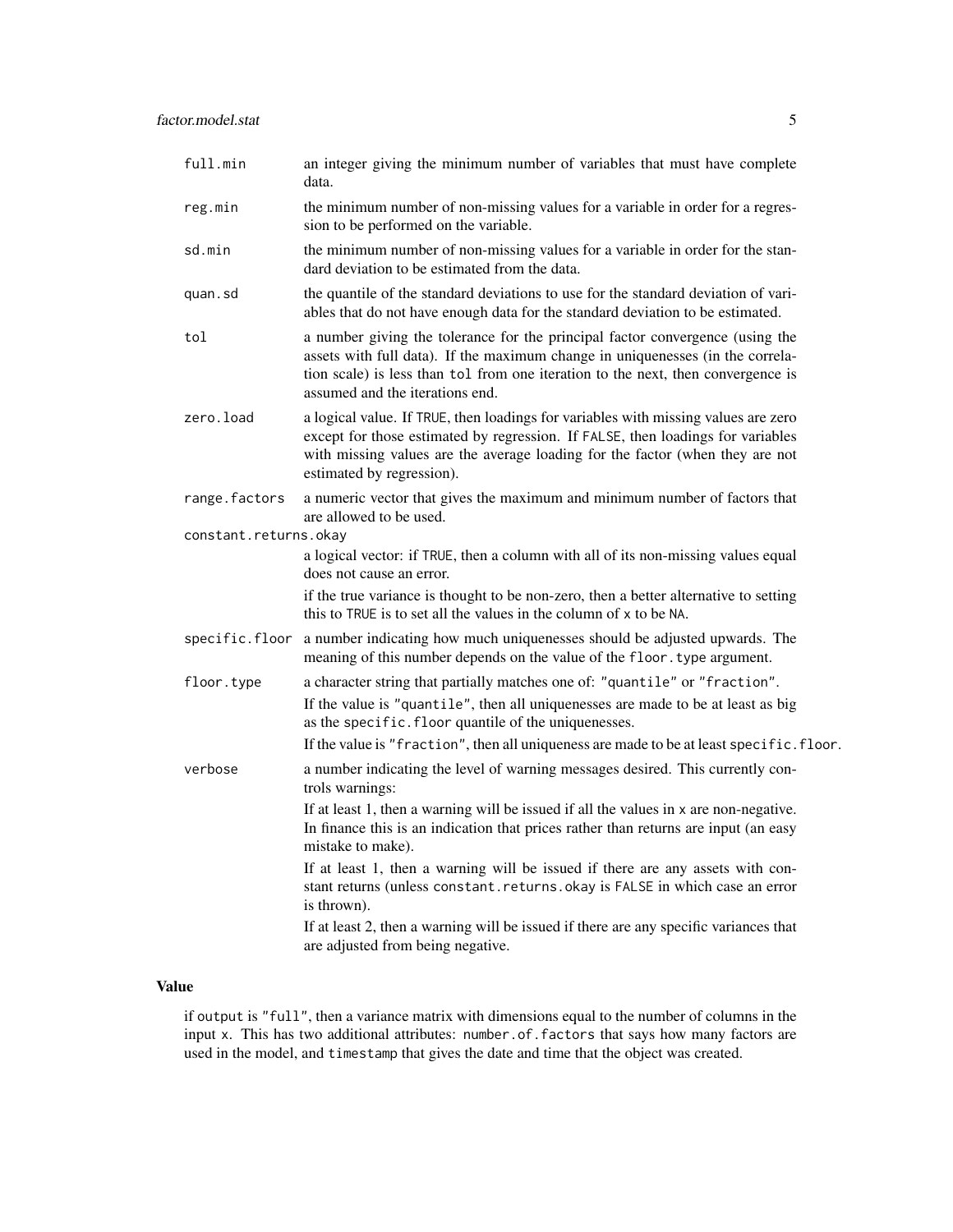| full.min              | an integer giving the minimum number of variables that must have complete<br>data.                                                                                                                                                                                                                                 |
|-----------------------|--------------------------------------------------------------------------------------------------------------------------------------------------------------------------------------------------------------------------------------------------------------------------------------------------------------------|
| reg.min               | the minimum number of non-missing values for a variable in order for a regres-<br>sion to be performed on the variable.                                                                                                                                                                                            |
| sd.min                | the minimum number of non-missing values for a variable in order for the stan-<br>dard deviation to be estimated from the data.                                                                                                                                                                                    |
| quan.sd               | the quantile of the standard deviations to use for the standard deviation of vari-<br>ables that do not have enough data for the standard deviation to be estimated.                                                                                                                                               |
| tol                   | a number giving the tolerance for the principal factor convergence (using the<br>assets with full data). If the maximum change in uniquenesses (in the correla-<br>tion scale) is less than tol from one iteration to the next, then convergence is<br>assumed and the iterations end.                             |
| zero.load             | a logical value. If TRUE, then loadings for variables with missing values are zero<br>except for those estimated by regression. If FALSE, then loadings for variables<br>with missing values are the average loading for the factor (when they are not<br>estimated by regression).                                |
| range.factors         | a numeric vector that gives the maximum and minimum number of factors that<br>are allowed to be used.                                                                                                                                                                                                              |
| constant.returns.okay |                                                                                                                                                                                                                                                                                                                    |
|                       | a logical vector: if TRUE, then a column with all of its non-missing values equal<br>does not cause an error.                                                                                                                                                                                                      |
|                       | if the true variance is thought to be non-zero, then a better alternative to setting<br>this to TRUE is to set all the values in the column of x to be NA.                                                                                                                                                         |
| specific.floor        | a number indicating how much uniquenesses should be adjusted upwards. The<br>meaning of this number depends on the value of the floor. type argument.                                                                                                                                                              |
| floor.type            | a character string that partially matches one of: "quantile" or "fraction".<br>If the value is "quantile", then all uniquenesses are made to be at least as big<br>as the specific. floor quantile of the uniquenesses.<br>If the value is "fraction", then all uniqueness are made to be at least specific.floor. |
| verbose               | a number indicating the level of warning messages desired. This currently con-<br>trols warnings:<br>If at least 1 then a warning will be issued if all the values in x are non-negative                                                                                                                           |
|                       |                                                                                                                                                                                                                                                                                                                    |

If at least 1, then a warning will be issued if all the values in x are non-negative. In finance this is an indication that prices rather than returns are input (an easy mistake to make).

If at least 1, then a warning will be issued if there are any assets with constant returns (unless constant.returns.okay is FALSE in which case an error is thrown).

If at least 2, then a warning will be issued if there are any specific variances that are adjusted from being negative.

# Value

if output is "full", then a variance matrix with dimensions equal to the number of columns in the input x. This has two additional attributes: number.of.factors that says how many factors are used in the model, and timestamp that gives the date and time that the object was created.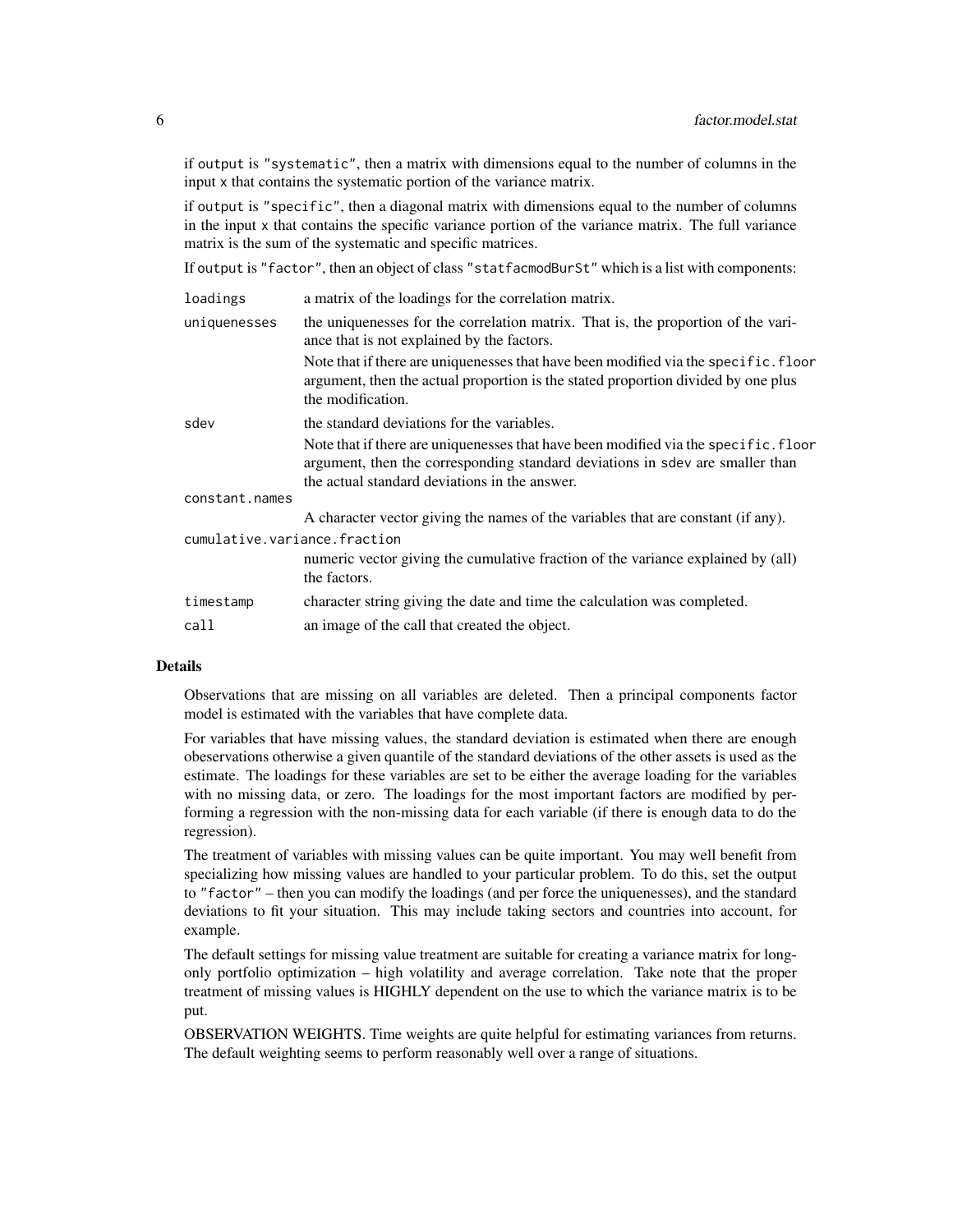if output is "systematic", then a matrix with dimensions equal to the number of columns in the input x that contains the systematic portion of the variance matrix.

if output is "specific", then a diagonal matrix with dimensions equal to the number of columns in the input x that contains the specific variance portion of the variance matrix. The full variance matrix is the sum of the systematic and specific matrices.

If output is "factor", then an object of class "statfacmodBurSt" which is a list with components:

| loadings                     | a matrix of the loadings for the correlation matrix.                                                                                                                                                                  |
|------------------------------|-----------------------------------------------------------------------------------------------------------------------------------------------------------------------------------------------------------------------|
| uniquenesses                 | the uniquenesses for the correlation matrix. That is, the proportion of the vari-<br>ance that is not explained by the factors.                                                                                       |
|                              | Note that if there are uniquenesses that have been modified via the specific. floor<br>argument, then the actual proportion is the stated proportion divided by one plus<br>the modification.                         |
| sdev                         | the standard deviations for the variables.                                                                                                                                                                            |
|                              | Note that if there are uniquenesses that have been modified via the specific. floor<br>argument, then the corresponding standard deviations in sdev are smaller than<br>the actual standard deviations in the answer. |
| constant.names               |                                                                                                                                                                                                                       |
|                              | A character vector giving the names of the variables that are constant (if any).                                                                                                                                      |
| cumulative.variance.fraction |                                                                                                                                                                                                                       |
|                              | numeric vector giving the cumulative fraction of the variance explained by (all)<br>the factors.                                                                                                                      |
| timestamp                    | character string giving the date and time the calculation was completed.                                                                                                                                              |
| call                         | an image of the call that created the object.                                                                                                                                                                         |

# Details

Observations that are missing on all variables are deleted. Then a principal components factor model is estimated with the variables that have complete data.

For variables that have missing values, the standard deviation is estimated when there are enough obeservations otherwise a given quantile of the standard deviations of the other assets is used as the estimate. The loadings for these variables are set to be either the average loading for the variables with no missing data, or zero. The loadings for the most important factors are modified by performing a regression with the non-missing data for each variable (if there is enough data to do the regression).

The treatment of variables with missing values can be quite important. You may well benefit from specializing how missing values are handled to your particular problem. To do this, set the output to "factor" – then you can modify the loadings (and per force the uniquenesses), and the standard deviations to fit your situation. This may include taking sectors and countries into account, for example.

The default settings for missing value treatment are suitable for creating a variance matrix for longonly portfolio optimization – high volatility and average correlation. Take note that the proper treatment of missing values is HIGHLY dependent on the use to which the variance matrix is to be put.

OBSERVATION WEIGHTS. Time weights are quite helpful for estimating variances from returns. The default weighting seems to perform reasonably well over a range of situations.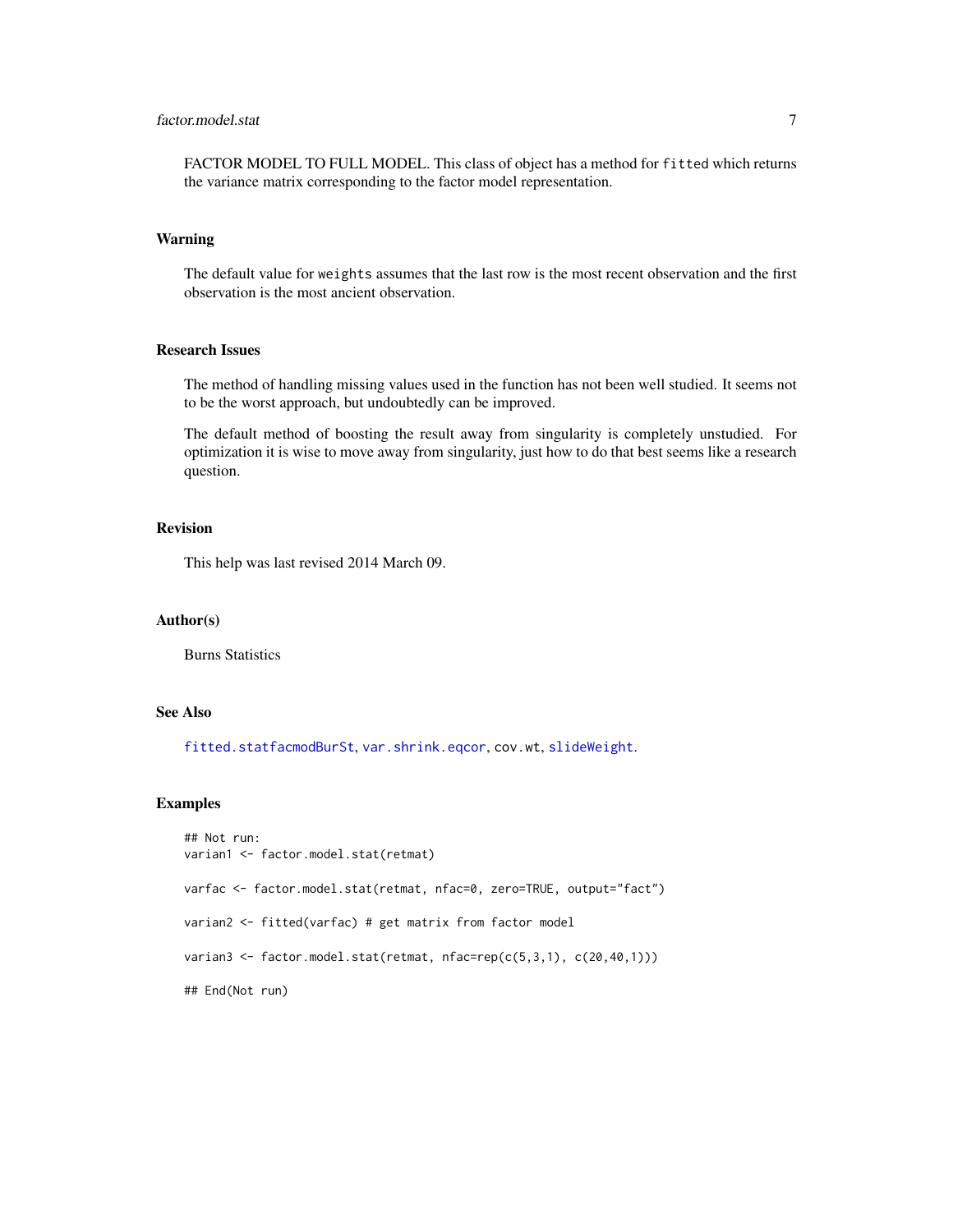<span id="page-6-0"></span>FACTOR MODEL TO FULL MODEL. This class of object has a method for fitted which returns the variance matrix corresponding to the factor model representation.

# Warning

The default value for weights assumes that the last row is the most recent observation and the first observation is the most ancient observation.

# Research Issues

The method of handling missing values used in the function has not been well studied. It seems not to be the worst approach, but undoubtedly can be improved.

The default method of boosting the result away from singularity is completely unstudied. For optimization it is wise to move away from singularity, just how to do that best seems like a research question.

# Revision

This help was last revised 2014 March 09.

#### Author(s)

Burns Statistics

# See Also

[fitted.statfacmodBurSt](#page-7-1), [var.shrink.eqcor](#page-13-1), cov.wt, [slideWeight](#page-9-1).

#### Examples

```
## Not run:
varian1 <- factor.model.stat(retmat)
varfac <- factor.model.stat(retmat, nfac=0, zero=TRUE, output="fact")
varian2 <- fitted(varfac) # get matrix from factor model
varian3 <- factor.model.stat(retmat, nfac=rep(c(5,3,1), c(20,40,1)))
## End(Not run)
```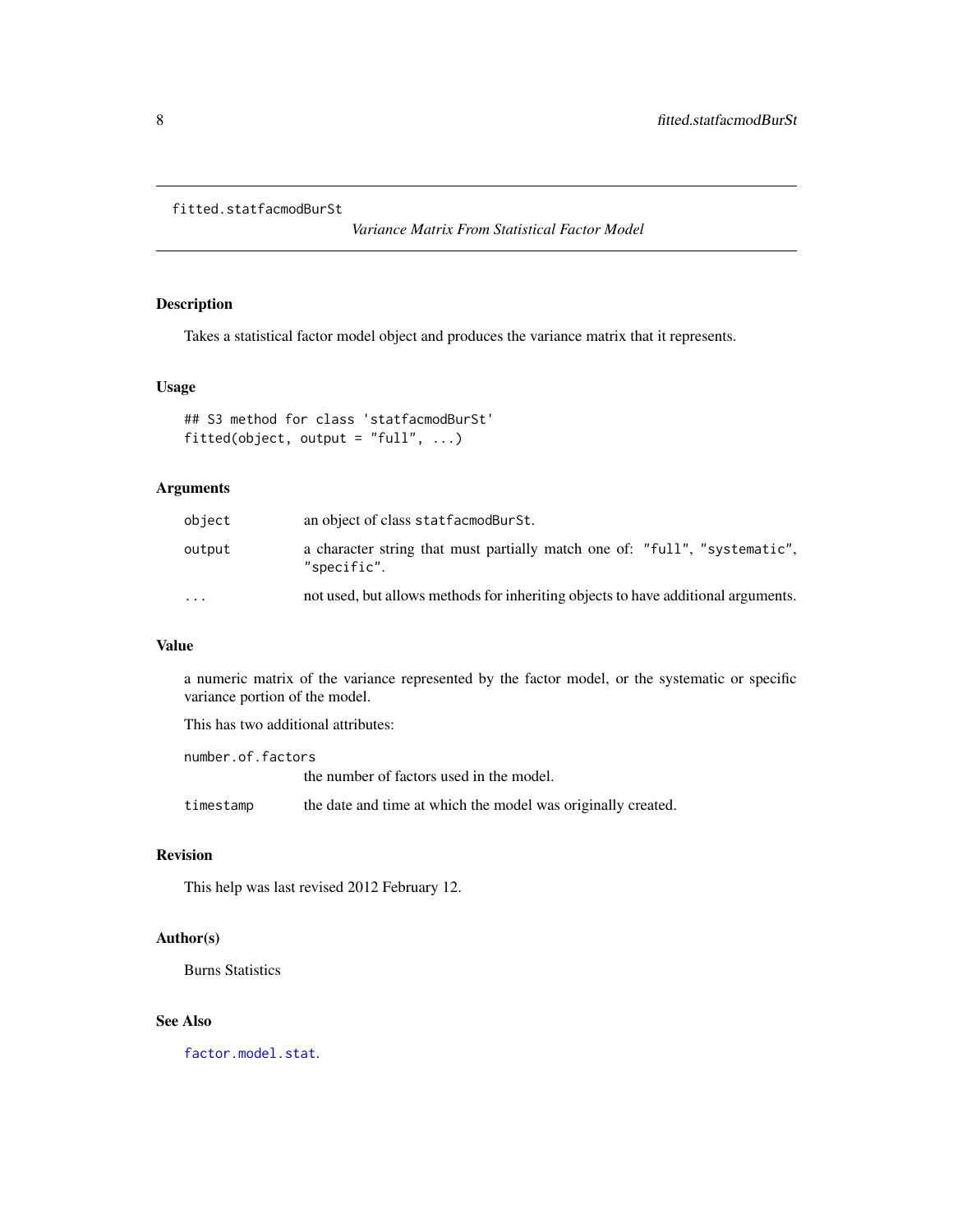```
fitted.statfacmodBurSt
```
*Variance Matrix From Statistical Factor Model*

# Description

Takes a statistical factor model object and produces the variance matrix that it represents.

# Usage

```
## S3 method for class 'statfacmodBurSt'
fitted(object, output = "full", \ldots)
```
# Arguments

| object    | an object of class statfacmodBurSt.                                                       |
|-----------|-------------------------------------------------------------------------------------------|
| output    | a character string that must partially match one of: "full", "systematic",<br>"specific". |
| $\ddotsc$ | not used, but allows methods for inheriting objects to have additional arguments.         |

# Value

a numeric matrix of the variance represented by the factor model, or the systematic or specific variance portion of the model.

This has two additional attributes:

number.of.factors the number of factors used in the model. timestamp the date and time at which the model was originally created.

# Revision

This help was last revised 2012 February 12.

# Author(s)

Burns Statistics

# See Also

[factor.model.stat](#page-3-1).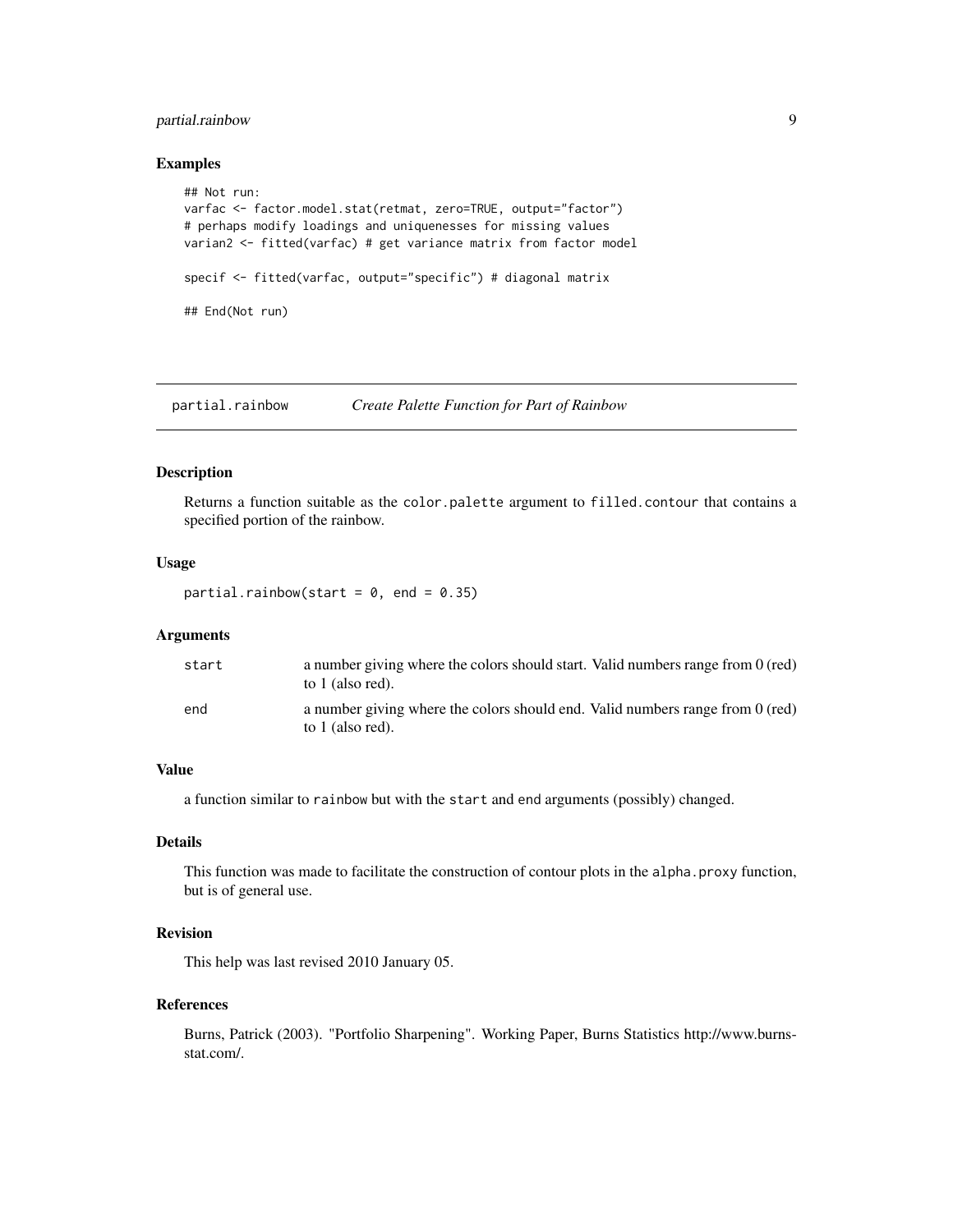# <span id="page-8-0"></span>partial.rainbow 9

#### Examples

```
## Not run:
varfac <- factor.model.stat(retmat, zero=TRUE, output="factor")
# perhaps modify loadings and uniquenesses for missing values
varian2 <- fitted(varfac) # get variance matrix from factor model
specif <- fitted(varfac, output="specific") # diagonal matrix
## End(Not run)
```
<span id="page-8-1"></span>partial.rainbow *Create Palette Function for Part of Rainbow*

## Description

Returns a function suitable as the color.palette argument to filled.contour that contains a specified portion of the rainbow.

# Usage

partial.rainbow(start =  $0$ , end =  $0.35$ )

#### Arguments

| start | a number giving where the colors should start. Valid numbers range from 0 (red)<br>to 1 (also red). |
|-------|-----------------------------------------------------------------------------------------------------|
| end   | a number giving where the colors should end. Valid numbers range from 0 (red)<br>to 1 (also red).   |

# Value

a function similar to rainbow but with the start and end arguments (possibly) changed.

#### Details

This function was made to facilitate the construction of contour plots in the alpha.proxy function, but is of general use.

# Revision

This help was last revised 2010 January 05.

#### References

Burns, Patrick (2003). "Portfolio Sharpening". Working Paper, Burns Statistics http://www.burnsstat.com/.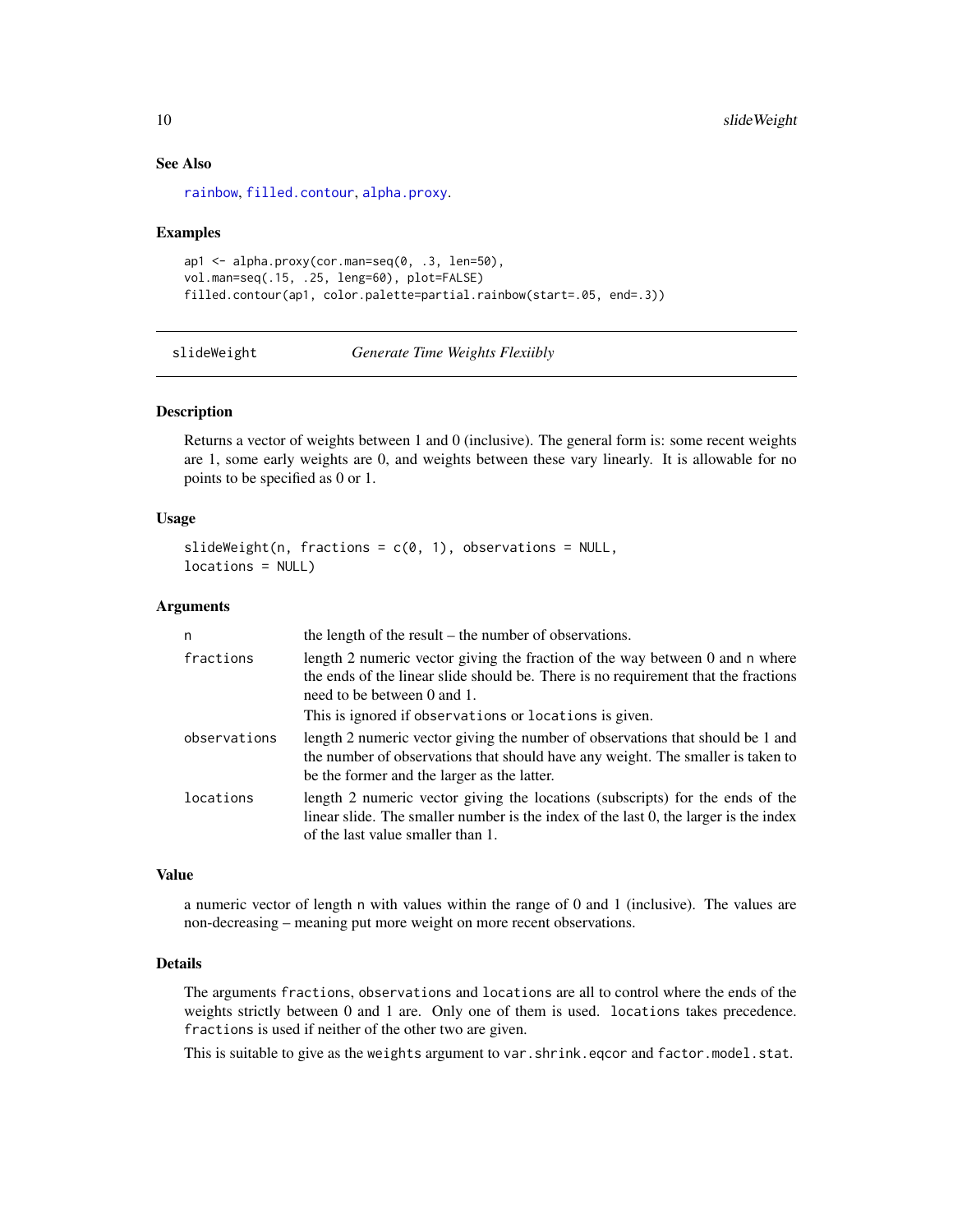# <span id="page-9-0"></span>See Also

[rainbow](#page-0-0), [filled.contour](#page-0-0), [alpha.proxy](#page-1-1).

#### Examples

```
ap1 \leq alpha.proxy(cor.man=seq(0, .3, len=50),
vol.man=seq(.15, .25, leng=60), plot=FALSE)
filled.contour(ap1, color.palette=partial.rainbow(start=.05, end=.3))
```
<span id="page-9-1"></span>slideWeight *Generate Time Weights Flexiibly*

# Description

Returns a vector of weights between 1 and 0 (inclusive). The general form is: some recent weights are 1, some early weights are 0, and weights between these vary linearly. It is allowable for no points to be specified as 0 or 1.

## Usage

```
slideWeight(n, fractions = c(0, 1), observations = NULL,
locations = NULL)
```
# Arguments

| n            | the length of the result – the number of observations.                                                                                                                                                           |
|--------------|------------------------------------------------------------------------------------------------------------------------------------------------------------------------------------------------------------------|
| fractions    | length 2 numeric vector giving the fraction of the way between 0 and n where<br>the ends of the linear slide should be. There is no requirement that the fractions<br>need to be between 0 and 1.                |
|              | This is ignored if observations or locations is given.                                                                                                                                                           |
| observations | length 2 numeric vector giving the number of observations that should be 1 and<br>the number of observations that should have any weight. The smaller is taken to<br>be the former and the larger as the latter. |
| locations    | length 2 numeric vector giving the locations (subscripts) for the ends of the<br>linear slide. The smaller number is the index of the last 0, the larger is the index<br>of the last value smaller than 1.       |

# Value

a numeric vector of length n with values within the range of 0 and 1 (inclusive). The values are non-decreasing – meaning put more weight on more recent observations.

## Details

The arguments fractions, observations and locations are all to control where the ends of the weights strictly between 0 and 1 are. Only one of them is used. locations takes precedence. fractions is used if neither of the other two are given.

This is suitable to give as the weights argument to var.shrink.eqcor and factor.model.stat.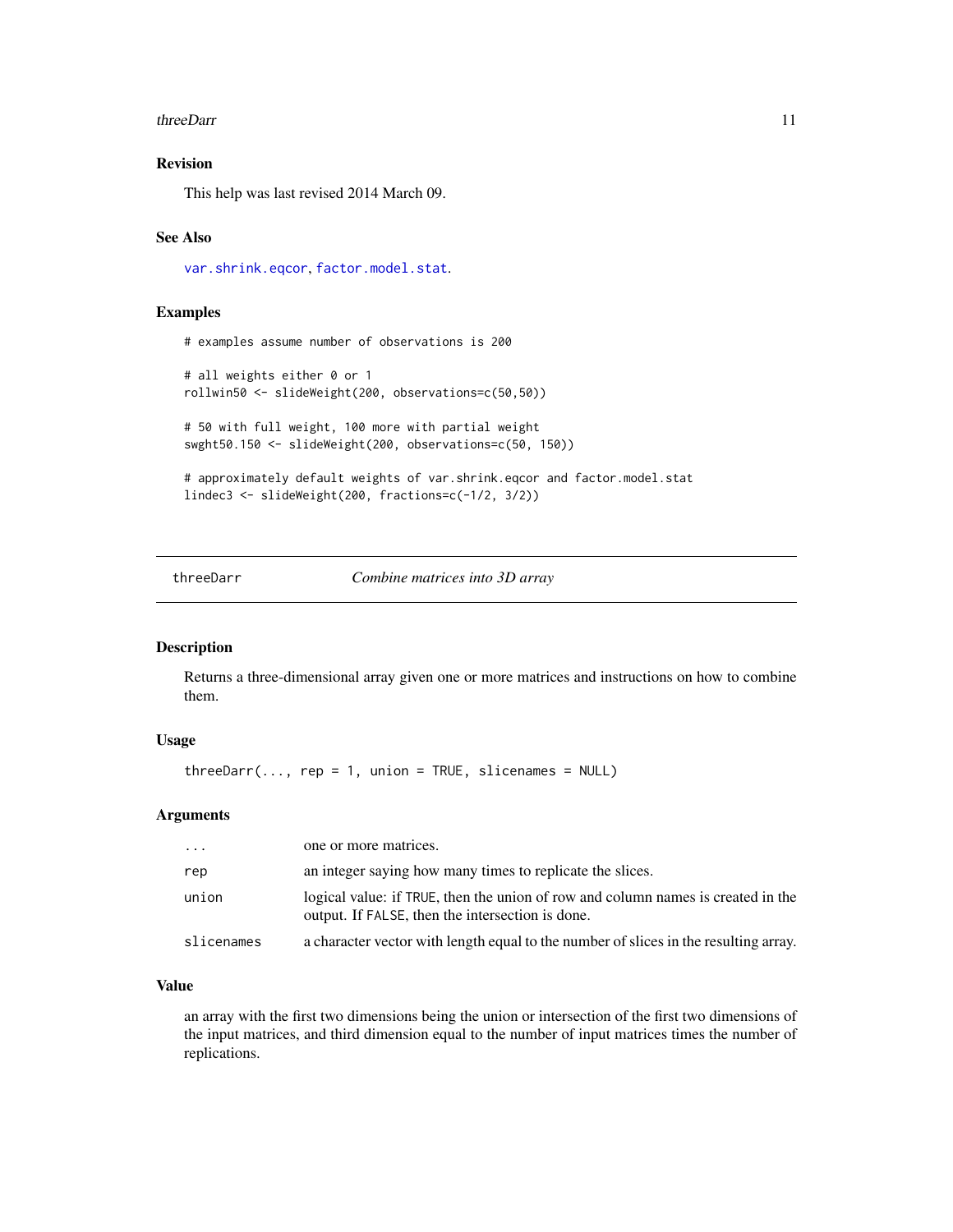#### <span id="page-10-0"></span>threeDarr 11

# Revision

This help was last revised 2014 March 09.

#### See Also

[var.shrink.eqcor](#page-13-1), [factor.model.stat](#page-3-1).

#### Examples

```
# examples assume number of observations is 200
# all weights either 0 or 1
rollwin50 <- slideWeight(200, observations=c(50,50))
# 50 with full weight, 100 more with partial weight
swght50.150 <- slideWeight(200, observations=c(50, 150))
# approximately default weights of var.shrink.eqcor and factor.model.stat
lindec3 <- slideWeight(200, fractions=c(-1/2, 3/2))
```
<span id="page-10-1"></span>threeDarr *Combine matrices into 3D array*

#### Description

Returns a three-dimensional array given one or more matrices and instructions on how to combine them.

# Usage

 $threeDarr(..., rep = 1, union = TRUE, slice names = NULL)$ 

#### Arguments

| .          | one or more matrices.                                                                                                                |
|------------|--------------------------------------------------------------------------------------------------------------------------------------|
| rep        | an integer saying how many times to replicate the slices.                                                                            |
| union      | logical value: if TRUE, then the union of row and column names is created in the<br>output. If FALSE, then the intersection is done. |
| slicenames | a character vector with length equal to the number of slices in the resulting array.                                                 |

#### Value

an array with the first two dimensions being the union or intersection of the first two dimensions of the input matrices, and third dimension equal to the number of input matrices times the number of replications.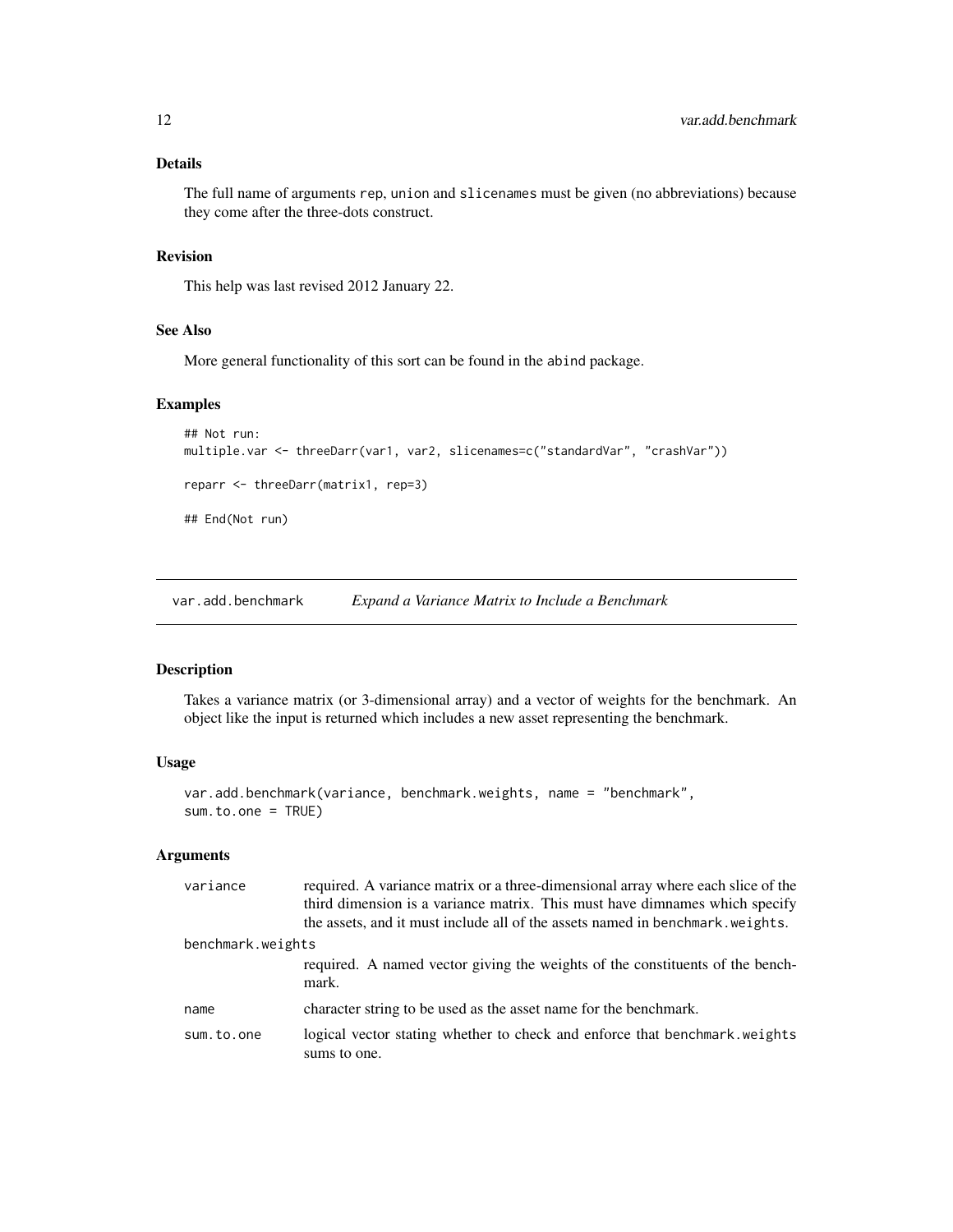# <span id="page-11-0"></span>Details

The full name of arguments rep, union and slicenames must be given (no abbreviations) because they come after the three-dots construct.

# Revision

This help was last revised 2012 January 22.

#### See Also

More general functionality of this sort can be found in the abind package.

# Examples

```
## Not run:
multiple.var <- threeDarr(var1, var2, slicenames=c("standardVar", "crashVar"))
reparr <- threeDarr(matrix1, rep=3)
## End(Not run)
```
<span id="page-11-1"></span>var.add.benchmark *Expand a Variance Matrix to Include a Benchmark*

### Description

Takes a variance matrix (or 3-dimensional array) and a vector of weights for the benchmark. An object like the input is returned which includes a new asset representing the benchmark.

#### Usage

```
var.add.benchmark(variance, benchmark.weights, name = "benchmark",
sum.to.one = TRUE)
```
# Arguments

| variance          | required. A variance matrix or a three-dimensional array where each slice of the<br>third dimension is a variance matrix. This must have dimnames which specify<br>the assets, and it must include all of the assets named in benchmark. weights. |
|-------------------|---------------------------------------------------------------------------------------------------------------------------------------------------------------------------------------------------------------------------------------------------|
| benchmark.weights |                                                                                                                                                                                                                                                   |
|                   | required. A named vector giving the weights of the constituents of the bench-<br>mark.                                                                                                                                                            |
| name              | character string to be used as the asset name for the benchmark.                                                                                                                                                                                  |
| sum.to.one        | logical vector stating whether to check and enforce that benchmark weights<br>sums to one.                                                                                                                                                        |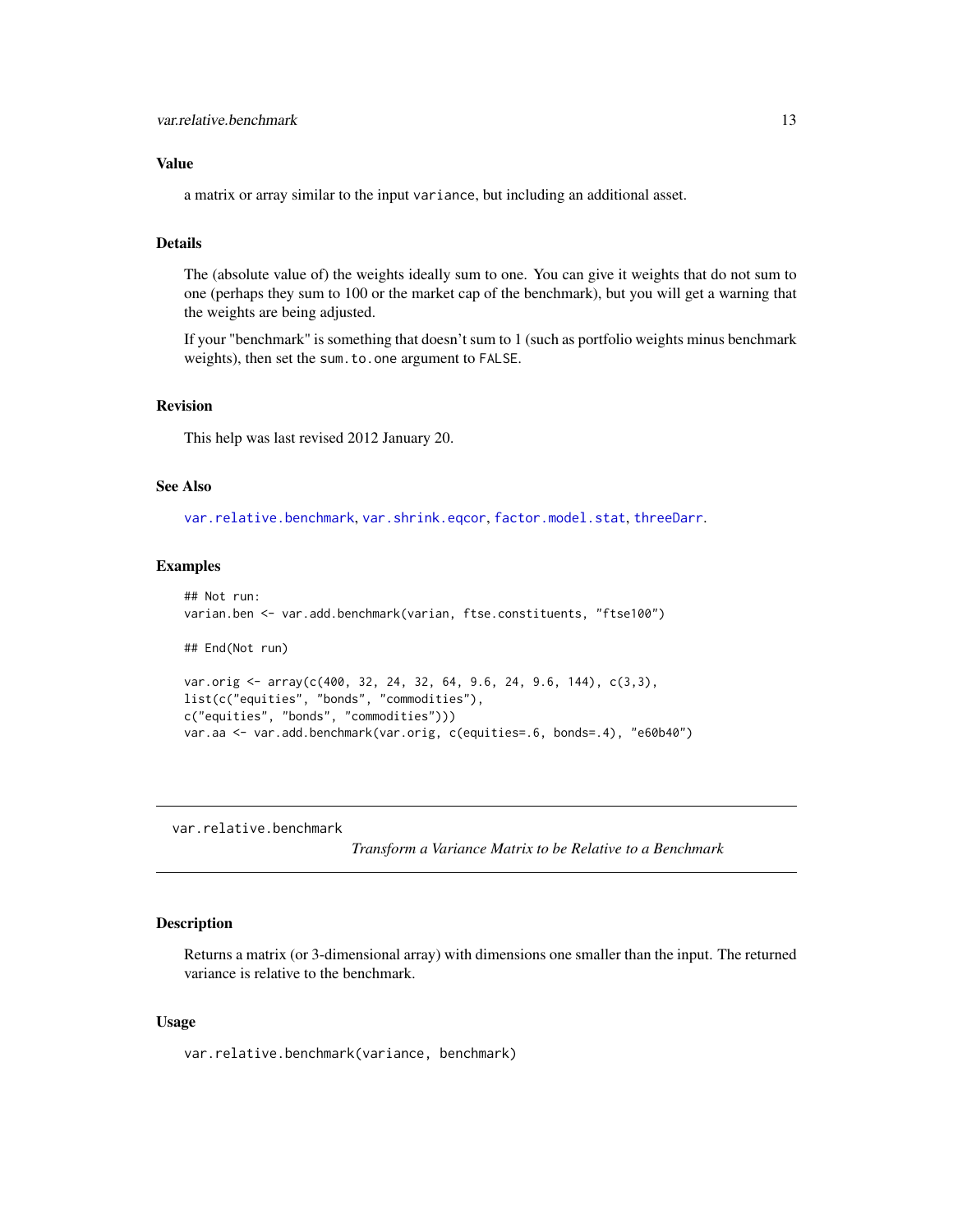# <span id="page-12-0"></span>Value

a matrix or array similar to the input variance, but including an additional asset.

# Details

The (absolute value of) the weights ideally sum to one. You can give it weights that do not sum to one (perhaps they sum to 100 or the market cap of the benchmark), but you will get a warning that the weights are being adjusted.

If your "benchmark" is something that doesn't sum to 1 (such as portfolio weights minus benchmark weights), then set the sum.to.one argument to FALSE.

# Revision

This help was last revised 2012 January 20.

# See Also

[var.relative.benchmark](#page-12-1), [var.shrink.eqcor](#page-13-1), [factor.model.stat](#page-3-1), [threeDarr](#page-10-1).

#### Examples

```
## Not run:
varian.ben <- var.add.benchmark(varian, ftse.constituents, "ftse100")
## End(Not run)
var.orig <- array(c(400, 32, 24, 32, 64, 9.6, 24, 9.6, 144), c(3,3),
list(c("equities", "bonds", "commodities"),
c("equities", "bonds", "commodities")))
var.aa <- var.add.benchmark(var.orig, c(equities=.6, bonds=.4), "e60b40")
```
<span id="page-12-1"></span>var.relative.benchmark

*Transform a Variance Matrix to be Relative to a Benchmark*

#### Description

Returns a matrix (or 3-dimensional array) with dimensions one smaller than the input. The returned variance is relative to the benchmark.

#### Usage

var.relative.benchmark(variance, benchmark)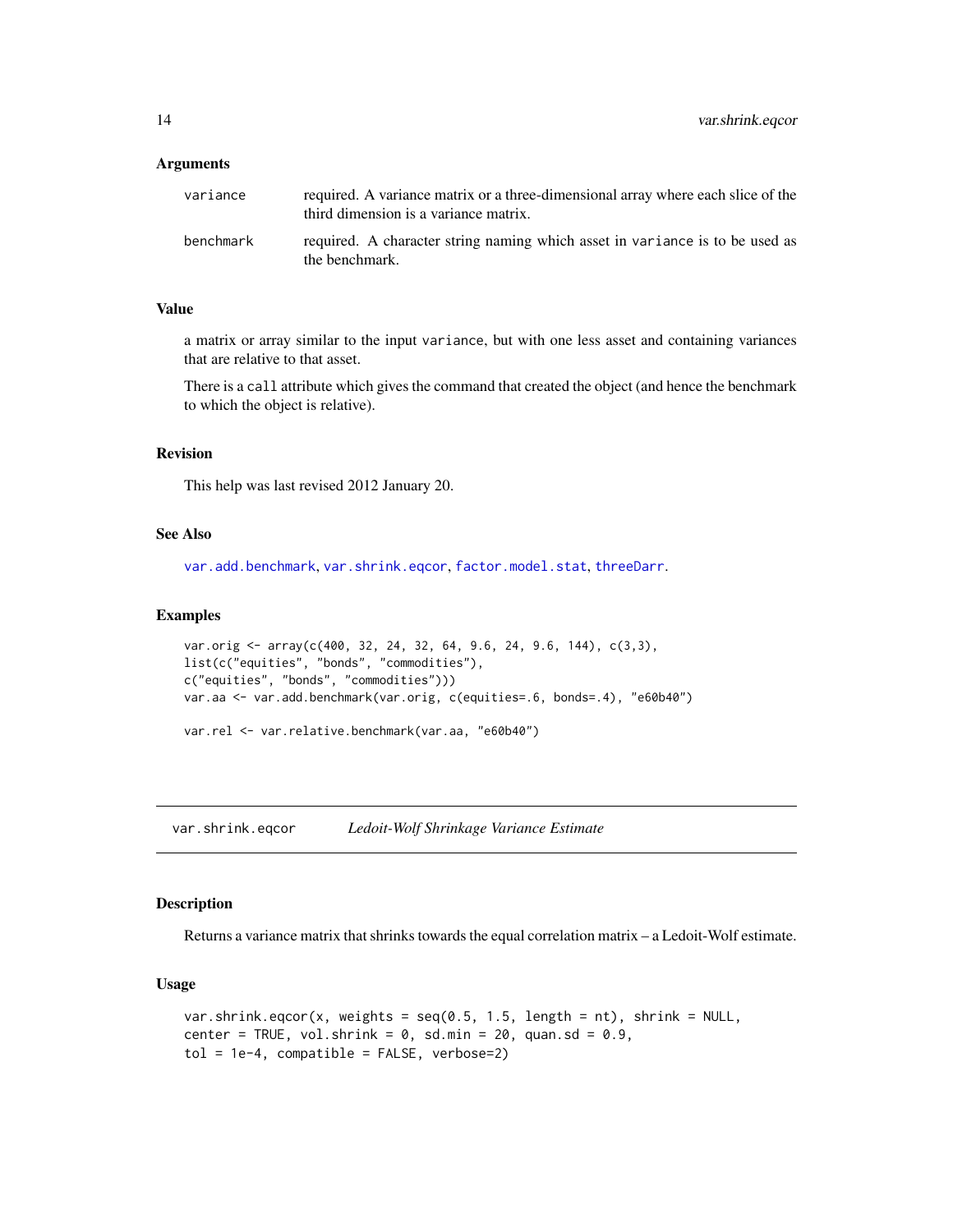#### <span id="page-13-0"></span>**Arguments**

| variance  | required. A variance matrix or a three-dimensional array where each slice of the<br>third dimension is a variance matrix. |
|-----------|---------------------------------------------------------------------------------------------------------------------------|
| benchmark | required. A character string naming which asset in variance is to be used as<br>the benchmark.                            |

#### Value

a matrix or array similar to the input variance, but with one less asset and containing variances that are relative to that asset.

There is a call attribute which gives the command that created the object (and hence the benchmark to which the object is relative).

# Revision

This help was last revised 2012 January 20.

# See Also

[var.add.benchmark](#page-11-1), [var.shrink.eqcor](#page-13-1), [factor.model.stat](#page-3-1), [threeDarr](#page-10-1).

#### Examples

```
var.orig <- array(c(400, 32, 24, 32, 64, 9.6, 24, 9.6, 144), c(3,3),
list(c("equities", "bonds", "commodities"),
c("equities", "bonds", "commodities")))
var.aa <- var.add.benchmark(var.orig, c(equities=.6, bonds=.4), "e60b40")
```
var.rel <- var.relative.benchmark(var.aa, "e60b40")

<span id="page-13-1"></span>var.shrink.eqcor *Ledoit-Wolf Shrinkage Variance Estimate*

#### Description

Returns a variance matrix that shrinks towards the equal correlation matrix – a Ledoit-Wolf estimate.

#### Usage

```
var.shrink.eqcor(x, weights = seq(0.5, 1.5, length = nt), shrink = NULL,
center = TRUE, vol.shrink = 0, sd.min = 20, quan.sd = 0.9,
tol = 1e-4, compatible = FALSE, verbose=2)
```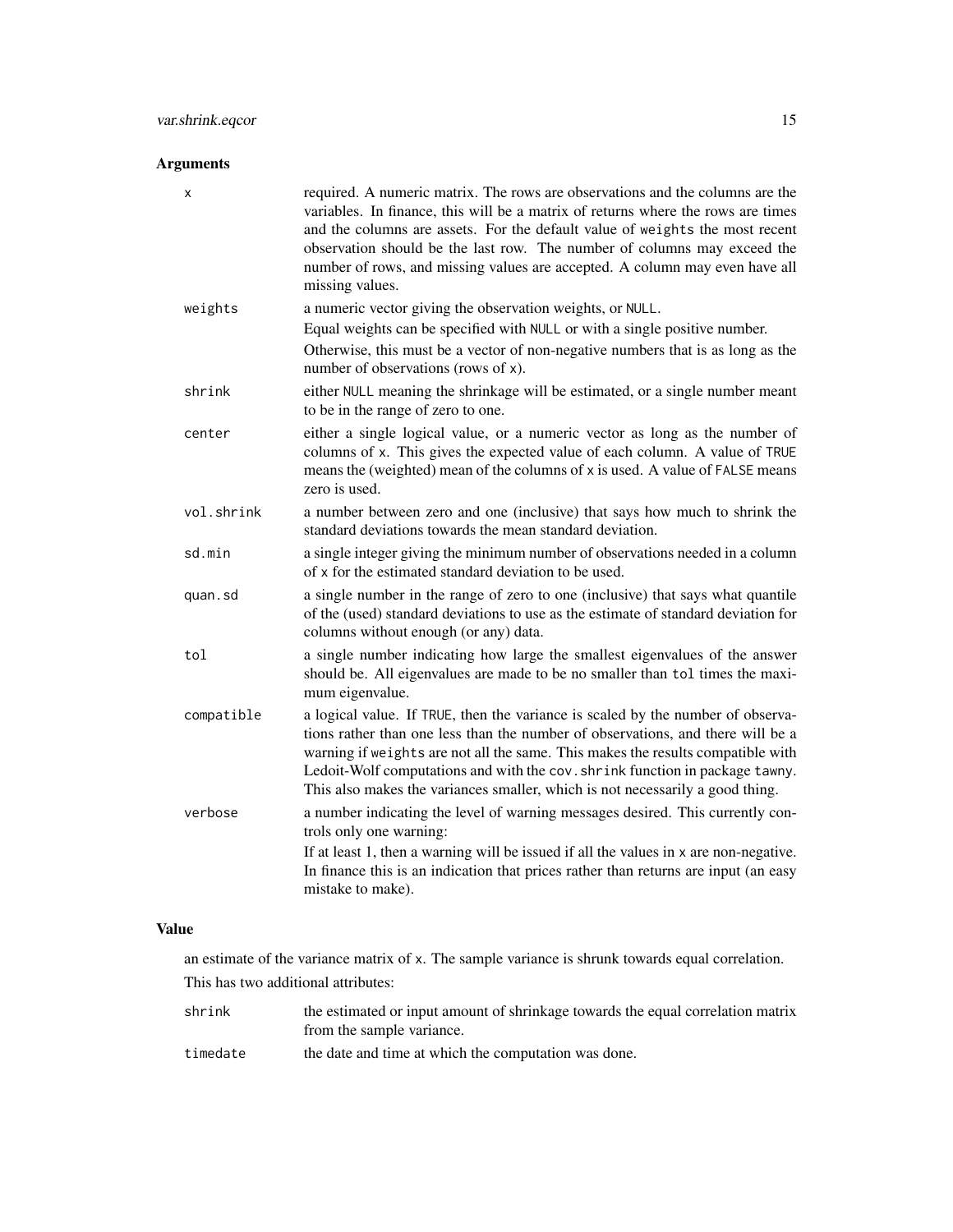# Arguments

| x          | required. A numeric matrix. The rows are observations and the columns are the<br>variables. In finance, this will be a matrix of returns where the rows are times<br>and the columns are assets. For the default value of weights the most recent<br>observation should be the last row. The number of columns may exceed the<br>number of rows, and missing values are accepted. A column may even have all<br>missing values. |
|------------|---------------------------------------------------------------------------------------------------------------------------------------------------------------------------------------------------------------------------------------------------------------------------------------------------------------------------------------------------------------------------------------------------------------------------------|
| weights    | a numeric vector giving the observation weights, or NULL.                                                                                                                                                                                                                                                                                                                                                                       |
|            | Equal weights can be specified with NULL or with a single positive number.<br>Otherwise, this must be a vector of non-negative numbers that is as long as the<br>number of observations (rows of x).                                                                                                                                                                                                                            |
| shrink     | either NULL meaning the shrinkage will be estimated, or a single number meant<br>to be in the range of zero to one.                                                                                                                                                                                                                                                                                                             |
| center     | either a single logical value, or a numeric vector as long as the number of<br>columns of x. This gives the expected value of each column. A value of TRUE<br>means the (weighted) mean of the columns of x is used. A value of FALSE means<br>zero is used.                                                                                                                                                                    |
| vol.shrink | a number between zero and one (inclusive) that says how much to shrink the<br>standard deviations towards the mean standard deviation.                                                                                                                                                                                                                                                                                          |
| sd.min     | a single integer giving the minimum number of observations needed in a column<br>of x for the estimated standard deviation to be used.                                                                                                                                                                                                                                                                                          |
| quan.sd    | a single number in the range of zero to one (inclusive) that says what quantile<br>of the (used) standard deviations to use as the estimate of standard deviation for<br>columns without enough (or any) data.                                                                                                                                                                                                                  |
| tol        | a single number indicating how large the smallest eigenvalues of the answer<br>should be. All eigenvalues are made to be no smaller than tol times the maxi-<br>mum eigenvalue.                                                                                                                                                                                                                                                 |
| compatible | a logical value. If TRUE, then the variance is scaled by the number of observa-<br>tions rather than one less than the number of observations, and there will be a<br>warning if weights are not all the same. This makes the results compatible with<br>Ledoit-Wolf computations and with the cov. shrink function in package tawny.<br>This also makes the variances smaller, which is not necessarily a good thing.          |
| verbose    | a number indicating the level of warning messages desired. This currently con-<br>trols only one warning:<br>If at least 1, then a warning will be issued if all the values in $x$ are non-negative.<br>In finance this is an indication that prices rather than returns are input (an easy<br>mistake to make).                                                                                                                |

# Value

an estimate of the variance matrix of x. The sample variance is shrunk towards equal correlation. This has two additional attributes:

shrink the estimated or input amount of shrinkage towards the equal correlation matrix from the sample variance.

timedate the date and time at which the computation was done.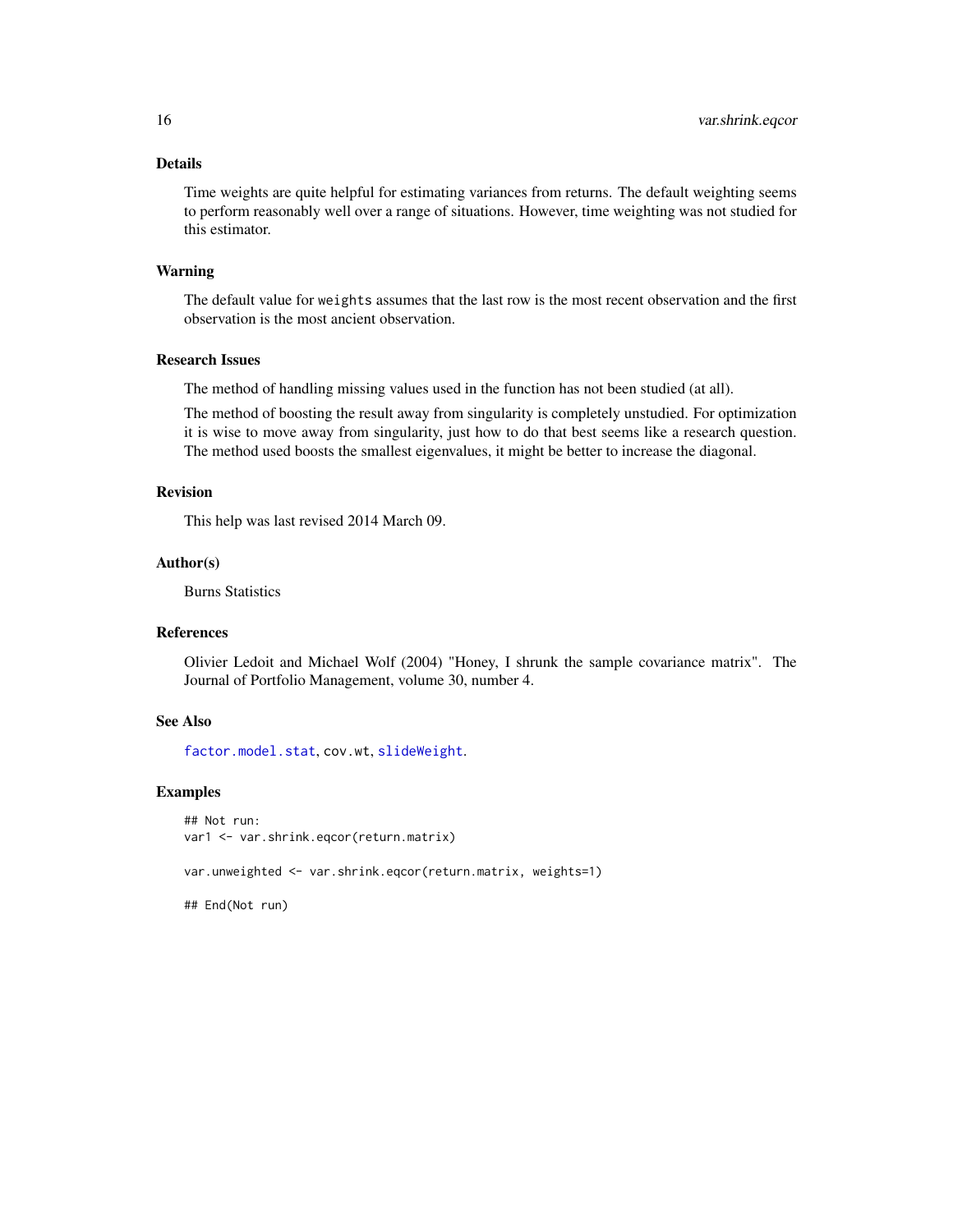# <span id="page-15-0"></span>Details

Time weights are quite helpful for estimating variances from returns. The default weighting seems to perform reasonably well over a range of situations. However, time weighting was not studied for this estimator.

#### Warning

The default value for weights assumes that the last row is the most recent observation and the first observation is the most ancient observation.

# Research Issues

The method of handling missing values used in the function has not been studied (at all).

The method of boosting the result away from singularity is completely unstudied. For optimization it is wise to move away from singularity, just how to do that best seems like a research question. The method used boosts the smallest eigenvalues, it might be better to increase the diagonal.

#### Revision

This help was last revised 2014 March 09.

#### Author(s)

Burns Statistics

# References

Olivier Ledoit and Michael Wolf (2004) "Honey, I shrunk the sample covariance matrix". The Journal of Portfolio Management, volume 30, number 4.

#### See Also

[factor.model.stat](#page-3-1), cov.wt, [slideWeight](#page-9-1).

#### Examples

```
## Not run:
var1 <- var.shrink.eqcor(return.matrix)
```
var.unweighted <- var.shrink.eqcor(return.matrix, weights=1)

## End(Not run)